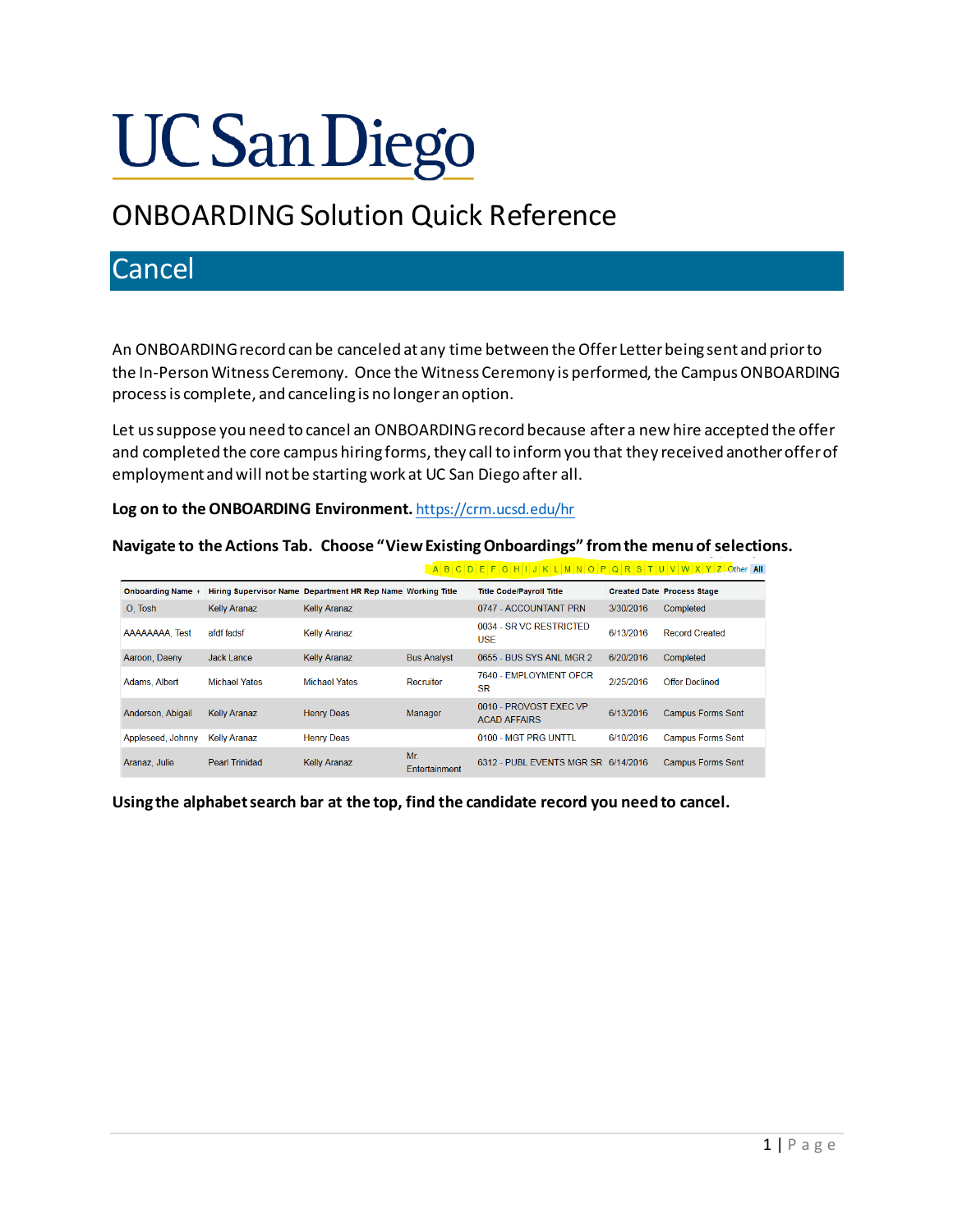# **UC San Diego**

## ONBOARDING Solution Quick Reference

## Cancel

An ONBOARDING record can be canceled at any time between the Offer Letter being sent and prior to the In-Person Witness Ceremony. Once the Witness Ceremony is performed, the Campus ONBOARDING process is complete, and canceling is no longer an option.

Let us suppose you need to cancel an ONBOARDING record because after a new hire accepted the offer and completed the core campus hiring forms, they call to inform you that they received another offer of employment and will not be starting work at UC San Diego after all.

**Log on to the ONBOARDING Environment.** <https://crm.ucsd.edu/hr>

**Navigate to the Actions Tab. Choose "View ExistingOnboardings" from the menu of selections.** 

|                   |                       |                                                             |                      | ABCDEFGHIJKLMNOPQRSTUVWXYZOther All           |           |                                   |
|-------------------|-----------------------|-------------------------------------------------------------|----------------------|-----------------------------------------------|-----------|-----------------------------------|
| Onboarding Name + |                       | Hiring Supervisor Name Department HR Rep Name Working Title |                      | <b>Title Code/Payroll Title</b>               |           | <b>Created Date Process Stage</b> |
| O. Tosh           | <b>Kelly Aranaz</b>   | <b>Kelly Aranaz</b>                                         |                      | 0747 - ACCOUNTANT PRN                         | 3/30/2016 | Completed                         |
| AAAAAAAA. Test    | afdf fadsf            | <b>Kelly Aranaz</b>                                         |                      | 0034 - SR VC RESTRICTED<br><b>USE</b>         | 6/13/2016 | <b>Record Created</b>             |
| Aaroon, Daeny     | Jack Lance            | <b>Kelly Aranaz</b>                                         | <b>Bus Analyst</b>   | 0655 - BUS SYS ANL MGR 2                      | 6/20/2016 | Completed                         |
| Adams, Albert     | <b>Michael Yates</b>  | <b>Michael Yates</b>                                        | Recruiter            | 7640 - EMPLOYMENT OFCR<br><b>SR</b>           | 2/25/2016 | <b>Offer Declined</b>             |
| Anderson, Abigail | <b>Kelly Aranaz</b>   | <b>Henry Deas</b>                                           | Manager              | 0010 - PROVOST FXFC VP<br><b>ACAD AFFAIRS</b> | 6/13/2016 | <b>Campus Forms Sent</b>          |
| Appleseed, Johnny | <b>Kelly Aranaz</b>   | <b>Henry Deas</b>                                           |                      | 0100 - MGT PRG UNTTL                          | 6/10/2016 | <b>Campus Forms Sent</b>          |
| Aranaz, Julie     | <b>Pearl Trinidad</b> | <b>Kelly Aranaz</b>                                         | Mr.<br>Entertainment | 6312 - PUBL EVENTS MGR SR 6/14/2016           |           | <b>Campus Forms Sent</b>          |

**Using the alphabet search bar at the top, find the candidate record you need to cancel.**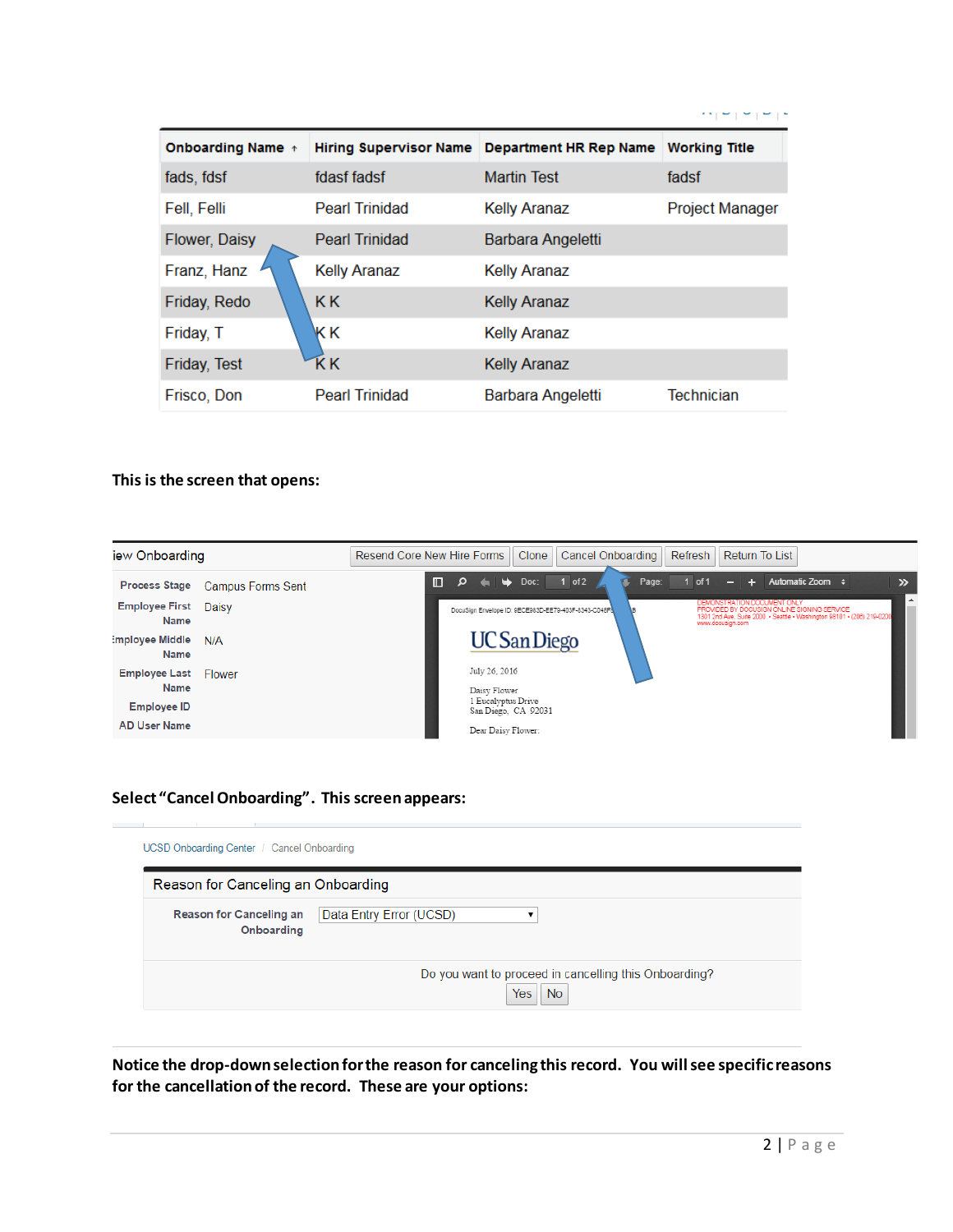|                          |                               |                        | .                    |
|--------------------------|-------------------------------|------------------------|----------------------|
| <b>Onboarding Name</b> + | <b>Hiring Supervisor Name</b> | Department HR Rep Name | <b>Working Title</b> |
| fads, fdsf               | fdasf fadsf                   | <b>Martin Test</b>     | fadsf                |
| Fell, Felli              | <b>Pearl Trinidad</b>         | <b>Kelly Aranaz</b>    | Project Manager      |
| Flower, Daisy            | <b>Pearl Trinidad</b>         | Barbara Angeletti      |                      |
| Franz, Hanz              | <b>Kelly Aranaz</b>           | <b>Kelly Aranaz</b>    |                      |
| Friday, Redo             | <b>KK</b>                     | <b>Kelly Aranaz</b>    |                      |
| Friday, T                | KΚ                            | <b>Kelly Aranaz</b>    |                      |
| Friday, Test             | ΚK                            | <b>Kelly Aranaz</b>    |                      |
| Frisco, Don              | <b>Pearl Trinidad</b>         | Barbara Angeletti      | <b>Technician</b>    |

#### **This is the screen that opens:**



### **Select "Cancel Onboarding". This screen appears:**

|                                              | Reason for Canceling an Onboarding |
|----------------------------------------------|------------------------------------|
| <b>Reason for Canceling an</b><br>Onboarding | Data Entry Error (UCSD)            |

**Notice the drop-down selection for the reason for canceling this record. You will see specific reasons for the cancellation of the record. These are your options:**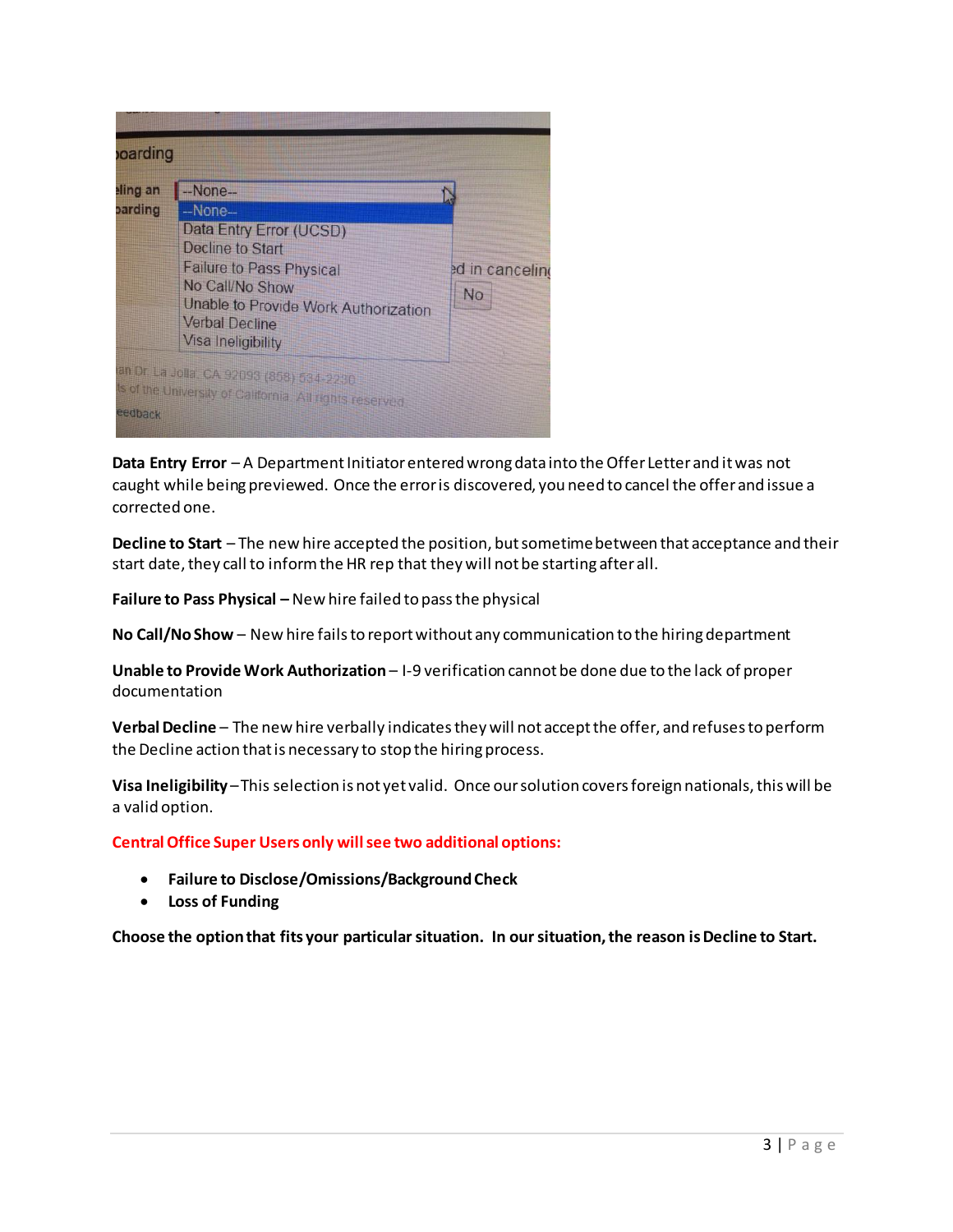|         | --None--                                                                                                                                                                                                           |                              |
|---------|--------------------------------------------------------------------------------------------------------------------------------------------------------------------------------------------------------------------|------------------------------|
| parding | $-Mone-$<br>Data Entry Error (UCSD)<br><b>Decline to Start</b><br><b>Failure to Pass Physical</b><br>No Call/No Show<br><b>Unable to Provide Work Authorization</b><br><b>Verbal Decline</b><br>Visa Ineligibility | ed in canceling<br><b>No</b> |

**Data Entry Error** – A Department Initiator entered wrong data into the Offer Letter and it was not caught while being previewed. Once the error is discovered, you need to cancel the offer and issue a corrected one.

**Decline to Start** – The new hire accepted the position, but sometime between that acceptance and their start date, they call to inform the HR rep that they will not be starting after all.

**Failure to Pass Physical –** New hire failed to pass the physical

**No Call/No Show** – New hire fails to report without any communication to the hiring department

**Unable to Provide Work Authorization** – I-9 verification cannot be done due to the lack of proper documentation

**Verbal Decline** – The new hire verbally indicates they will not accept the offer, and refuses to perform the Decline action that is necessary to stop the hiring process.

**Visa Ineligibility** –This selection is not yet valid. Once our solution covers foreign nationals, this will be a valid option.

**Central Office Super Users only will see two additional options:**

- **Failure to Disclose/Omissions/Background Check**
- **Loss of Funding**

**Choose the option that fits your particular situation. In our situation, the reason is Decline to Start.**